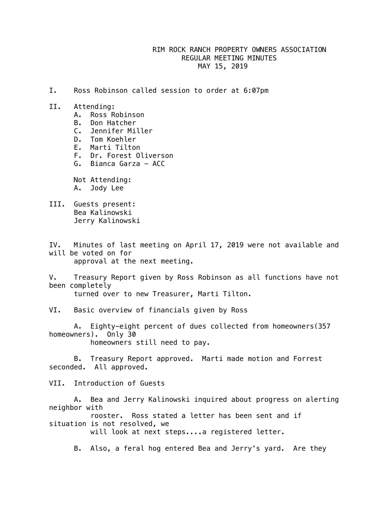## RIM ROCK RANCH PROPERTY OWNERS ASSOCIATION REGULAR MEETING MINUTES MAY 15, 2019

- I. Ross Robinson called session to order at 6:07pm
- II. Attending:
	- A. Ross Robinson
	- B. Don Hatcher
	- C. Jennifer Miller
	- D. Tom Koehler
	- E. Marti Tilton
	- F. Dr. Forest Oliverson
	- G. Bianca Garza ACC

 Not Attending: A. Jody Lee

III. Guests present: Bea Kalinowski Jerry Kalinowski

IV. Minutes of last meeting on April 17, 2019 were not available and will be voted on for approval at the next meeting.

V. Treasury Report given by Ross Robinson as all functions have not been completely

turned over to new Treasurer, Marti Tilton.

VI. Basic overview of financials given by Ross

 A. Eighty-eight percent of dues collected from homeowners(357 homeowners). Only 30 homeowners still need to pay.

 B. Treasury Report approved. Marti made motion and Forrest seconded. All approved.

VII. Introduction of Guests

 A. Bea and Jerry Kalinowski inquired about progress on alerting neighbor with

 rooster. Ross stated a letter has been sent and if situation is not resolved, we

will look at next steps....a registered letter.

B. Also, a feral hog entered Bea and Jerry's yard. Are they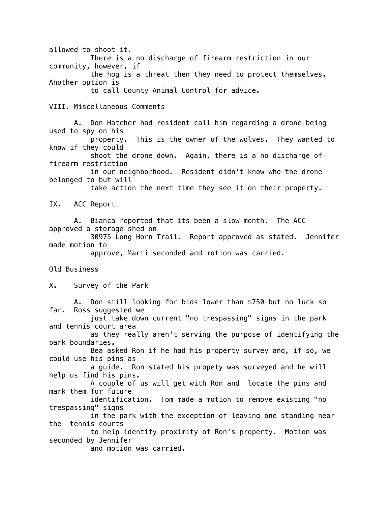allowed to shoot it. There is a no discharge of firearm restriction in our community, however, if the hog is a threat then they need to protect themselves. Another option is to call County Animal Control for advice.

VIII. Miscellaneous Comments

 A. Don Hatcher had resident call him regarding a drone being used to spy on his

 property. This is the owner of the wolves. They wanted to know if they could

 shoot the drone down. Again, there is a no discharge of firearm restriction

 in our neighborhood. Resident didn't know who the drone belonged to but will

take action the next time they see it on their property.

IX. ACC Report

 A. Bianca reported that its been a slow month. The ACC approved a storage shed on

 30975 Long Horn Trail. Report approved as stated. Jennifer made motion to

approve, Marti seconded and motion was carried.

Old Business

X. Survey of the Park

 A. Don still looking for bids lower than \$750 but no luck so far. Ross suggested we

 just take down current "no trespassing" signs in the park and tennis court area

 as they really aren't serving the purpose of identifying the park boundaries.

 Bea asked Ron if he had his property survey and, if so, we could use his pins as

 a guide. Ron stated his propety was surveyed and he will help us find his pins.

 A couple of us will get with Ron and locate the pins and mark them for future

 identification. Tom made a motion to remove existing "no trespassing" signs

 in the park with the exception of leaving one standing near the tennis courts

 to help identify proximity of Ron's property. Motion was seconded by Jennifer

and motion was carried.